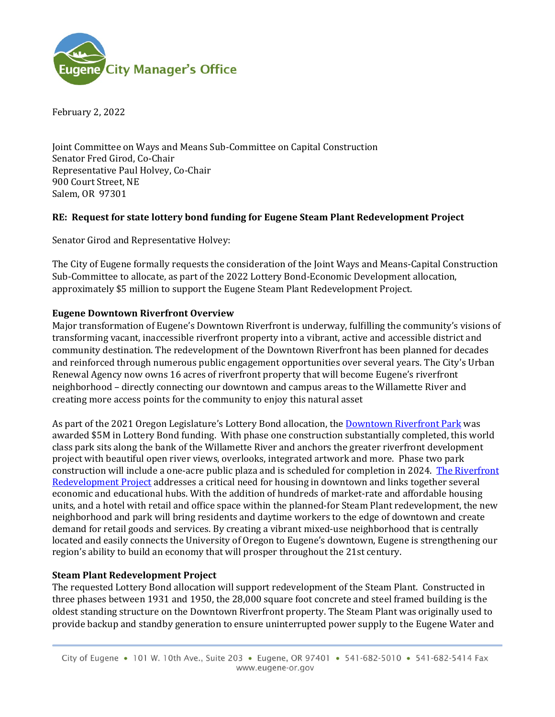

February 2, 2022

Joint Committee on Ways and Means Sub-Committee on Capital Construction Senator Fred Girod, Co-Chair Representative Paul Holvey, Co-Chair 900 Court Street, NE Salem, OR 97301

## **RE: Request for state lottery bond funding for Eugene Steam Plant Redevelopment Project**

Senator Girod and Representative Holvey:

The City of Eugene formally requests the consideration of the Joint Ways and Means-Capital Construction Sub-Committee to allocate, as part of the 2022 Lottery Bond-Economic Development allocation, approximately \$5 million to support the Eugene Steam Plant Redevelopment Project.

## **Eugene Downtown Riverfront Overview**

Major transformation of Eugene's Downtown Riverfront is underway, fulfilling the community's visions of transforming vacant, inaccessible riverfront property into a vibrant, active and accessible district and community destination. The redevelopment of the Downtown Riverfront has been planned for decades and reinforced through numerous public engagement opportunities over several years. The City's Urban Renewal Agency now owns 16 acres of riverfront property that will become Eugene's riverfront neighborhood – directly connecting our downtown and campus areas to the Willamette River and creating more access points for the community to enjoy this natural asset

As part of the 2021 Oregon Legislature's Lottery Bond allocation, th[e Downtown Riverfront Park](https://www.eugene-or.gov/3917/Downtown-Riverfront-Park) was awarded \$5M in Lottery Bond funding. With phase one construction substantially completed, this world class park sits along the bank of the Willamette River and anchors the greater riverfront development project with beautiful open river views, overlooks, integrated artwork and more. Phase two park construction will include a one-acre public plaza and is scheduled for completion in 2024. [The Riverfront](https://www.eugene-or.gov/3506/Downtown-Riverfront)  [Redevelopment Project](https://www.eugene-or.gov/3506/Downtown-Riverfront) addresses a critical need for housing in downtown and links together several economic and educational hubs. With the addition of hundreds of market-rate and affordable housing units, and a hotel with retail and office space within the planned-for Steam Plant redevelopment, the new neighborhood and park will bring residents and daytime workers to the edge of downtown and create demand for retail goods and services. By creating a vibrant mixed-use neighborhood that is centrally located and easily connects the University of Oregon to Eugene's downtown, Eugene is strengthening our region's ability to build an economy that will prosper throughout the 21st century.

## **Steam Plant Redevelopment Project**

The requested Lottery Bond allocation will support redevelopment of the Steam Plant. Constructed in three phases between 1931 and 1950, the 28,000 square foot concrete and steel framed building is the oldest standing structure on the Downtown Riverfront property. The Steam Plant was originally used to provide backup and standby generation to ensure uninterrupted power supply to the Eugene Water and